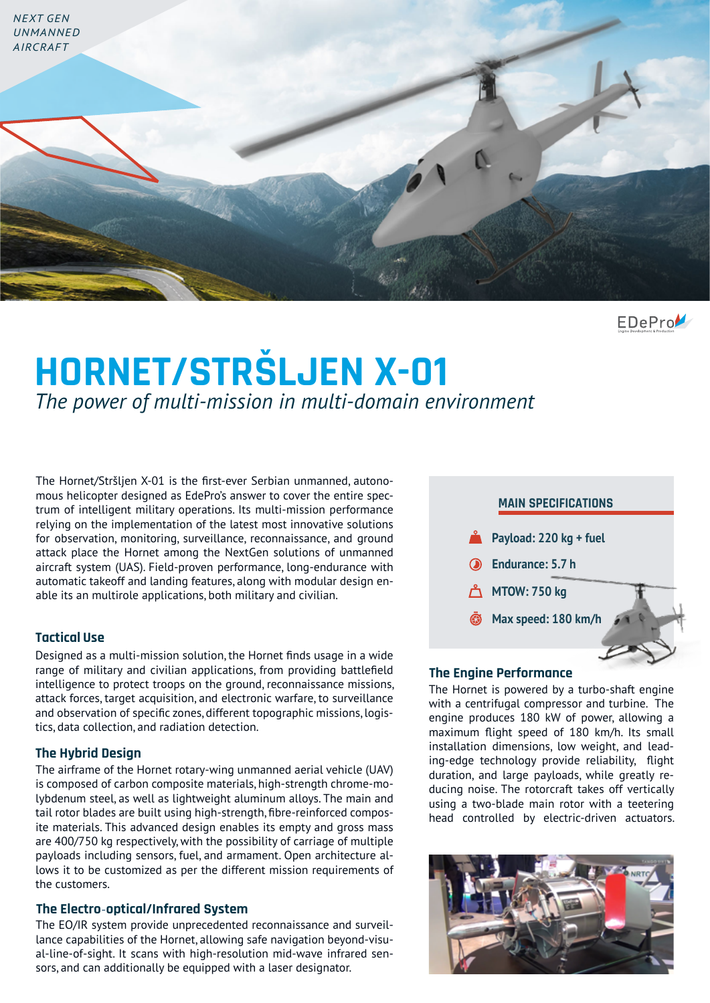

 $EDeProV$ 

# **HORNET/STRŠLJEN X-01** *The power of multi-mission in multi-domain environment*

The Hornet/Stršljen X-01 is the first-ever Serbian unmanned, autonomous helicopter designed as EdePro's answer to cover the entire spectrum of intelligent military operations. Its multi-mission performance relying on the implementation of the latest most innovative solutions for observation, monitoring, surveillance, reconnaissance, and ground attack place the Hornet among the NextGen solutions of unmanned aircraft system (UAS). Field-proven performance, long-endurance with automatic takeoff and landing features, along with modular design enable its an multirole applications, both military and civilian.

## **Tactical Use**

Designed as a multi-mission solution, the Hornet finds usage in a wide range of military and civilian applications, from providing battlefield intelligence to protect troops on the ground, reconnaissance missions, attack forces, target acquisition, and electronic warfare, to surveillance and observation of specific zones, different topographic missions, logistics, data collection, and radiation detection.

# **The Hybrid Design**

The airframe of the Hornet rotary-wing unmanned aerial vehicle (UAV) is composed of carbon composite materials, high-strength chrome-molybdenum steel, as well as lightweight aluminum alloys. The main and tail rotor blades are built using high-strength, fibre-reinforced composite materials. This advanced design enables its empty and gross mass are 400/750 kg respectively, with the possibility of carriage of multiple payloads including sensors, fuel, and armament. Open architecture allows it to be customized as per the different mission requirements of the customers.

#### **The Electro**-**optical/Infrared System**

The EO/IR system provide unprecedented reconnaissance and surveillance capabilities of the Hornet, allowing safe navigation beyond-visual-line-of-sight. It scans with high-resolution mid-wave infrared sensors, and can additionally be equipped with a laser designator.



#### **The Engine Performance**

The Hornet is powered by a turbo-shaft engine with a centrifugal compressor and turbine. The engine produces 180 kW of power, allowing a maximum flight speed of 180 km/h. Its small installation dimensions, low weight, and leading-edge technology provide reliability, flight duration, and large payloads, while greatly reducing noise. The rotorcraft takes off vertically using a two-blade main rotor with a teetering head controlled by electric-driven actuators.